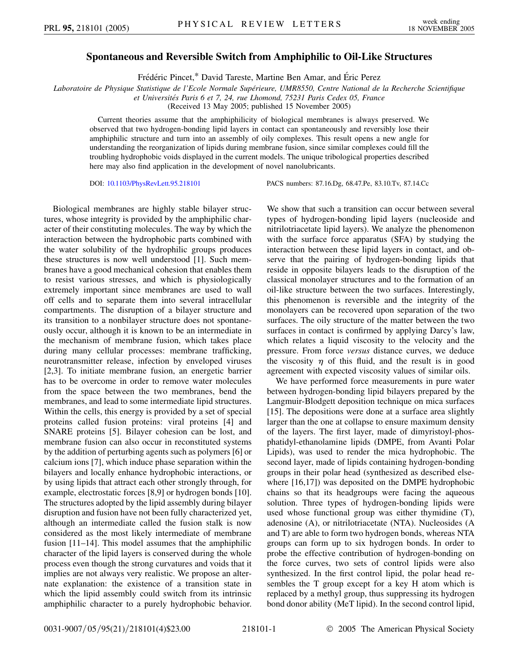## **Spontaneous and Reversible Switch from Amphiphilic to Oil-Like Structures**

Frédéric Pincet,\* David Tareste, Martine Ben Amar, and Éric Perez

*Laboratoire de Physique Statistique de l'Ecole Normale Supe´rieure, UMR8550, Centre National de la Recherche Scientifique*

*et Universite´s Paris 6 et 7, 24, rue Lhomond, 75231 Paris Cedex 05, France*

(Received 13 May 2005; published 15 November 2005)

Current theories assume that the amphiphilicity of biological membranes is always preserved. We observed that two hydrogen-bonding lipid layers in contact can spontaneously and reversibly lose their amphiphilic structure and turn into an assembly of oily complexes. This result opens a new angle for understanding the reorganization of lipids during membrane fusion, since similar complexes could fill the troubling hydrophobic voids displayed in the current models. The unique tribological properties described here may also find application in the development of novel nanolubricants.

DOI: [10.1103/PhysRevLett.95.218101](http://dx.doi.org/10.1103/PhysRevLett.95.218101) PACS numbers: 87.16.Dg, 68.47.Pe, 83.10.Tv, 87.14.Cc

Biological membranes are highly stable bilayer structures, whose integrity is provided by the amphiphilic character of their constituting molecules. The way by which the interaction between the hydrophobic parts combined with the water solubility of the hydrophilic groups produces these structures is now well understood [1]. Such membranes have a good mechanical cohesion that enables them to resist various stresses, and which is physiologically extremely important since membranes are used to wall off cells and to separate them into several intracellular compartments. The disruption of a bilayer structure and its transition to a nonbilayer structure does not spontaneously occur, although it is known to be an intermediate in the mechanism of membrane fusion, which takes place during many cellular processes: membrane trafficking, neurotransmitter release, infection by enveloped viruses [2,3]. To initiate membrane fusion, an energetic barrier has to be overcome in order to remove water molecules from the space between the two membranes, bend the membranes, and lead to some intermediate lipid structures. Within the cells, this energy is provided by a set of special proteins called fusion proteins: viral proteins [4] and SNARE proteins [5]. Bilayer cohesion can be lost, and membrane fusion can also occur in reconstituted systems by the addition of perturbing agents such as polymers [6] or calcium ions [7], which induce phase separation within the bilayers and locally enhance hydrophobic interactions, or by using lipids that attract each other strongly through, for example, electrostatic forces [8,9] or hydrogen bonds [10]. The structures adopted by the lipid assembly during bilayer disruption and fusion have not been fully characterized yet, although an intermediate called the fusion stalk is now considered as the most likely intermediate of membrane fusion [11–14]. This model assumes that the amphiphilic character of the lipid layers is conserved during the whole process even though the strong curvatures and voids that it implies are not always very realistic. We propose an alternate explanation: the existence of a transition state in which the lipid assembly could switch from its intrinsic amphiphilic character to a purely hydrophobic behavior.

We show that such a transition can occur between several types of hydrogen-bonding lipid layers (nucleoside and nitrilotriacetate lipid layers). We analyze the phenomenon with the surface force apparatus (SFA) by studying the interaction between these lipid layers in contact, and observe that the pairing of hydrogen-bonding lipids that reside in opposite bilayers leads to the disruption of the classical monolayer structures and to the formation of an oil-like structure between the two surfaces. Interestingly, this phenomenon is reversible and the integrity of the monolayers can be recovered upon separation of the two surfaces. The oily structure of the matter between the two surfaces in contact is confirmed by applying Darcy's law, which relates a liquid viscosity to the velocity and the pressure. From force *versus* distance curves, we deduce the viscosity  $\eta$  of this fluid, and the result is in good agreement with expected viscosity values of similar oils.

We have performed force measurements in pure water between hydrogen-bonding lipid bilayers prepared by the Langmuir-Blodgett deposition technique on mica surfaces [15]. The depositions were done at a surface area slightly larger than the one at collapse to ensure maximum density of the layers. The first layer, made of dimyristoyl-phosphatidyl-ethanolamine lipids (DMPE, from Avanti Polar Lipids), was used to render the mica hydrophobic. The second layer, made of lipids containing hydrogen-bonding groups in their polar head (synthesized as described elsewhere [16,17]) was deposited on the DMPE hydrophobic chains so that its headgroups were facing the aqueous solution. Three types of hydrogen-bonding lipids were used whose functional group was either thymidine (T), adenosine (A), or nitrilotriacetate (NTA). Nucleosides (A and T) are able to form two hydrogen bonds, whereas NTA groups can form up to six hydrogen bonds. In order to probe the effective contribution of hydrogen-bonding on the force curves, two sets of control lipids were also synthesized. In the first control lipid, the polar head resembles the T group except for a key H atom which is replaced by a methyl group, thus suppressing its hydrogen bond donor ability (MeT lipid). In the second control lipid,

0031-9007/05/95(21)/218101(4)\$23.00 218101-1 © 2005 The American Physical Society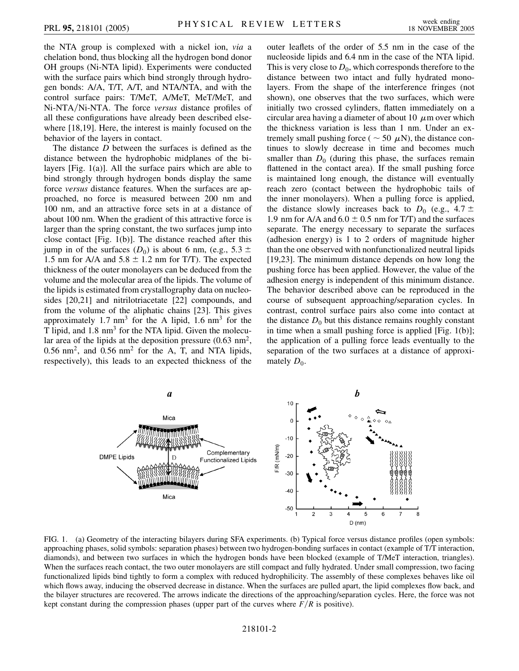the NTA group is complexed with a nickel ion, *via* a chelation bond, thus blocking all the hydrogen bond donor OH groups (Ni-NTA lipid). Experiments were conducted with the surface pairs which bind strongly through hydrogen bonds: A/A, T/T, A/T, and NTA/NTA, and with the control surface pairs: T/MeT, A/MeT, MeT/MeT, and Ni-NTA/Ni-NTA. The force *versus* distance profiles of all these configurations have already been described elsewhere [18,19]. Here, the interest is mainly focused on the behavior of the layers in contact.

The distance *D* between the surfaces is defined as the distance between the hydrophobic midplanes of the bilayers [Fig. 1(a)]. All the surface pairs which are able to bind strongly through hydrogen bonds display the same force *versus* distance features. When the surfaces are approached, no force is measured between 200 nm and 100 nm, and an attractive force sets in at a distance of about 100 nm. When the gradient of this attractive force is larger than the spring constant, the two surfaces jump into close contact [Fig. 1(b)]. The distance reached after this jump in of the surfaces  $(D_0)$  is about 6 nm, (e.g., 5.3  $\pm$ ) 1.5 nm for A/A and  $5.8 \pm 1.2$  nm for T/T). The expected thickness of the outer monolayers can be deduced from the volume and the molecular area of the lipids. The volume of the lipids is estimated from crystallography data on nucleosides [20,21] and nitrilotriacetate [22] compounds, and from the volume of the aliphatic chains [23]. This gives approximately 1*:*7 nm<sup>3</sup> for the A lipid, 1*:*6 nm<sup>3</sup> for the T lipid, and 1*:*8 nm<sup>3</sup> for the NTA lipid. Given the molecular area of the lipids at the deposition pressure (0*:*63 nm2, 0*:*56 nm<sup>2</sup>, and 0*:*56 nm<sup>2</sup> for the A, T, and NTA lipids, respectively), this leads to an expected thickness of the

outer leaflets of the order of 5.5 nm in the case of the nucleoside lipids and 6.4 nm in the case of the NTA lipid. This is very close to  $D_0$ , which corresponds therefore to the distance between two intact and fully hydrated monolayers. From the shape of the interference fringes (not shown), one observes that the two surfaces, which were initially two crossed cylinders, flatten immediately on a circular area having a diameter of about 10  $\mu$ m over which the thickness variation is less than 1 nm. Under an extremely small pushing force ( $\sim$  50  $\mu$ N), the distance continues to slowly decrease in time and becomes much smaller than  $D_0$  (during this phase, the surfaces remain flattened in the contact area). If the small pushing force is maintained long enough, the distance will eventually reach zero (contact between the hydrophobic tails of the inner monolayers). When a pulling force is applied, the distance slowly increases back to  $D_0$  (e.g., 4.7  $\pm$ 1.9 nm for A/A and  $6.0 \pm 0.5$  nm for T/T) and the surfaces separate. The energy necessary to separate the surfaces (adhesion energy) is 1 to 2 orders of magnitude higher than the one observed with nonfunctionalized neutral lipids [19,23]. The minimum distance depends on how long the pushing force has been applied. However, the value of the adhesion energy is independent of this minimum distance. The behavior described above can be reproduced in the course of subsequent approaching/separation cycles. In contrast, control surface pairs also come into contact at the distance  $D_0$  but this distance remains roughly constant in time when a small pushing force is applied [Fig. 1(b)]; the application of a pulling force leads eventually to the separation of the two surfaces at a distance of approximately  $D_0$ .



FIG. 1. (a) Geometry of the interacting bilayers during SFA experiments. (b) Typical force versus distance profiles (open symbols: approaching phases, solid symbols: separation phases) between two hydrogen-bonding surfaces in contact (example of T/T interaction, diamonds), and between two surfaces in which the hydrogen bonds have been blocked (example of T/MeT interaction, triangles). When the surfaces reach contact, the two outer monolayers are still compact and fully hydrated. Under small compression, two facing functionalized lipids bind tightly to form a complex with reduced hydrophilicity. The assembly of these complexes behaves like oil which flows away, inducing the observed decrease in distance. When the surfaces are pulled apart, the lipid complexes flow back, and the bilayer structures are recovered. The arrows indicate the directions of the approaching/separation cycles. Here, the force was not kept constant during the compression phases (upper part of the curves where  $F/R$  is positive).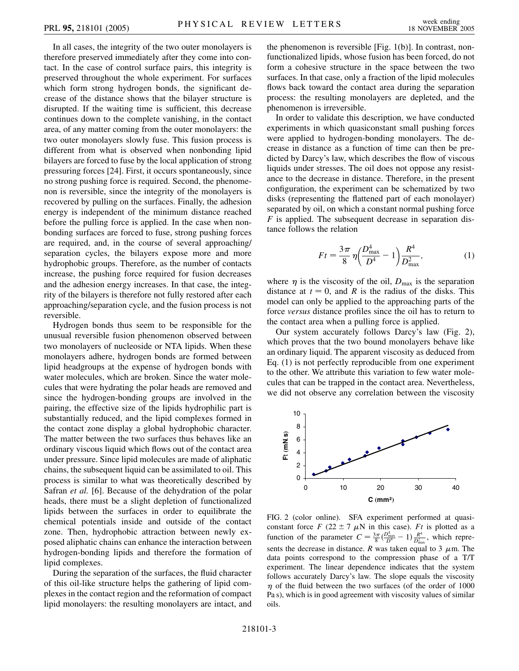In all cases, the integrity of the two outer monolayers is therefore preserved immediately after they come into contact. In the case of control surface pairs, this integrity is preserved throughout the whole experiment. For surfaces which form strong hydrogen bonds, the significant decrease of the distance shows that the bilayer structure is disrupted. If the waiting time is sufficient, this decrease continues down to the complete vanishing, in the contact area, of any matter coming from the outer monolayers: the two outer monolayers slowly fuse. This fusion process is different from what is observed when nonbonding lipid bilayers are forced to fuse by the local application of strong pressuring forces [24]. First, it occurs spontaneously, since no strong pushing force is required. Second, the phenomenon is reversible, since the integrity of the monolayers is recovered by pulling on the surfaces. Finally, the adhesion energy is independent of the minimum distance reached before the pulling force is applied. In the case when nonbonding surfaces are forced to fuse, strong pushing forces are required, and, in the course of several approaching/ separation cycles, the bilayers expose more and more hydrophobic groups. Therefore, as the number of contacts increase, the pushing force required for fusion decreases and the adhesion energy increases. In that case, the integrity of the bilayers is therefore not fully restored after each approaching/separation cycle, and the fusion process is not reversible.

Hydrogen bonds thus seem to be responsible for the unusual reversible fusion phenomenon observed between two monolayers of nucleoside or NTA lipids. When these monolayers adhere, hydrogen bonds are formed between lipid headgroups at the expense of hydrogen bonds with water molecules, which are broken. Since the water molecules that were hydrating the polar heads are removed and since the hydrogen-bonding groups are involved in the pairing, the effective size of the lipids hydrophilic part is substantially reduced, and the lipid complexes formed in the contact zone display a global hydrophobic character. The matter between the two surfaces thus behaves like an ordinary viscous liquid which flows out of the contact area under pressure. Since lipid molecules are made of aliphatic chains, the subsequent liquid can be assimilated to oil. This process is similar to what was theoretically described by Safran *et al.* [6]. Because of the dehydration of the polar heads, there must be a slight depletion of functionalized lipids between the surfaces in order to equilibrate the chemical potentials inside and outside of the contact zone. Then, hydrophobic attraction between newly exposed aliphatic chains can enhance the interaction between hydrogen-bonding lipids and therefore the formation of lipid complexes.

During the separation of the surfaces, the fluid character of this oil-like structure helps the gathering of lipid complexes in the contact region and the reformation of compact lipid monolayers: the resulting monolayers are intact, and the phenomenon is reversible [Fig. 1(b)]. In contrast, nonfunctionalized lipids, whose fusion has been forced, do not form a cohesive structure in the space between the two surfaces. In that case, only a fraction of the lipid molecules flows back toward the contact area during the separation process: the resulting monolayers are depleted, and the phenomenon is irreversible.

In order to validate this description, we have conducted experiments in which quasiconstant small pushing forces were applied to hydrogen-bonding monolayers. The decrease in distance as a function of time can then be predicted by Darcy's law, which describes the flow of viscous liquids under stresses. The oil does not oppose any resistance to the decrease in distance. Therefore, in the present configuration, the experiment can be schematized by two disks (representing the flattened part of each monolayer) separated by oil, on which a constant normal pushing force *F* is applied. The subsequent decrease in separation distance follows the relation

$$
Ft = \frac{3\pi}{8} \eta \left(\frac{D_{\text{max}}^4}{D^4} - 1\right) \frac{R^4}{D_{\text{max}}^2},\tag{1}
$$

where  $\eta$  is the viscosity of the oil,  $D_{\text{max}}$  is the separation distance at  $t = 0$ , and R is the radius of the disks. This model can only be applied to the approaching parts of the force *versus* distance profiles since the oil has to return to the contact area when a pulling force is applied.

Our system accurately follows Darcy's law (Fig. 2), which proves that the two bound monolayers behave like an ordinary liquid. The apparent viscosity as deduced from Eq. (1) is not perfectly reproducible from one experiment to the other. We attribute this variation to few water molecules that can be trapped in the contact area. Nevertheless, we did not observe any correlation between the viscosity



FIG. 2 (color online). SFA experiment performed at quasiconstant force *F* (22  $\pm$  7  $\mu$ N in this case). *Ft* is plotted as a function of the parameter  $C = \frac{3\pi}{8} \left( \frac{D_{\text{max}}^4}{D^4} - 1 \right) \frac{R^4}{D_{\text{max}}^2}$ , which represents the decrease in distance.  $R$  was taken equal to 3  $\mu$ m. The data points correspond to the compression phase of a T/T experiment. The linear dependence indicates that the system follows accurately Darcy's law. The slope equals the viscosity  $\eta$  of the fluid between the two surfaces (of the order of 1000 Pa s), which is in good agreement with viscosity values of similar oils.